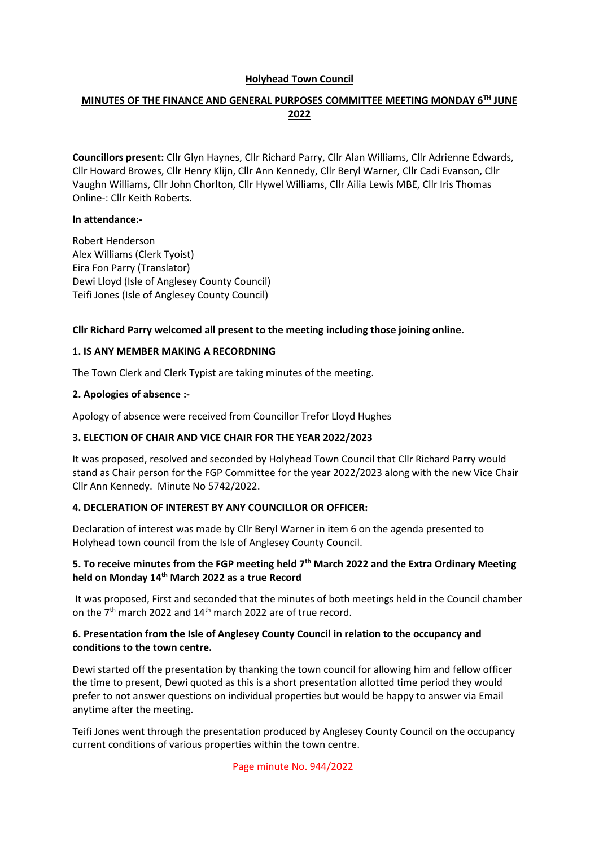### **Holyhead Town Council**

# **MINUTES OF THE FINANCE AND GENERAL PURPOSES COMMITTEE MEETING MONDAY 6TH JUNE 2022**

**Councillors present:** Cllr Glyn Haynes, Cllr Richard Parry, Cllr Alan Williams, Cllr Adrienne Edwards, Cllr Howard Browes, Cllr Henry Klijn, Cllr Ann Kennedy, Cllr Beryl Warner, Cllr Cadi Evanson, Cllr Vaughn Williams, Cllr John Chorlton, Cllr Hywel Williams, Cllr Ailia Lewis MBE, Cllr Iris Thomas Online-: Cllr Keith Roberts.

#### **In attendance:-**

Robert Henderson Alex Williams (Clerk Tyoist) Eira Fon Parry (Translator) Dewi Lloyd (Isle of Anglesey County Council) Teifi Jones (Isle of Anglesey County Council)

### **Cllr Richard Parry welcomed all present to the meeting including those joining online.**

### **1. IS ANY MEMBER MAKING A RECORDNING**

The Town Clerk and Clerk Typist are taking minutes of the meeting.

### **2. Apologies of absence :-**

Apology of absence were received from Councillor Trefor Lloyd Hughes

#### **3. ELECTION OF CHAIR AND VICE CHAIR FOR THE YEAR 2022/2023**

It was proposed, resolved and seconded by Holyhead Town Council that Cllr Richard Parry would stand as Chair person for the FGP Committee for the year 2022/2023 along with the new Vice Chair Cllr Ann Kennedy. Minute No 5742/2022.

# **4. DECLERATION OF INTEREST BY ANY COUNCILLOR OR OFFICER:**

Declaration of interest was made by Cllr Beryl Warner in item 6 on the agenda presented to Holyhead town council from the Isle of Anglesey County Council.

### **5. To receive minutes from the FGP meeting held 7th March 2022 and the Extra Ordinary Meeting held on Monday 14th March 2022 as a true Record**

It was proposed, First and seconded that the minutes of both meetings held in the Council chamber on the 7th march 2022 and 14th march 2022 are of true record.

### **6. Presentation from the Isle of Anglesey County Council in relation to the occupancy and conditions to the town centre.**

Dewi started off the presentation by thanking the town council for allowing him and fellow officer the time to present, Dewi quoted as this is a short presentation allotted time period they would prefer to not answer questions on individual properties but would be happy to answer via Email anytime after the meeting.

Teifi Jones went through the presentation produced by Anglesey County Council on the occupancy current conditions of various properties within the town centre.

Page minute No. 944/2022